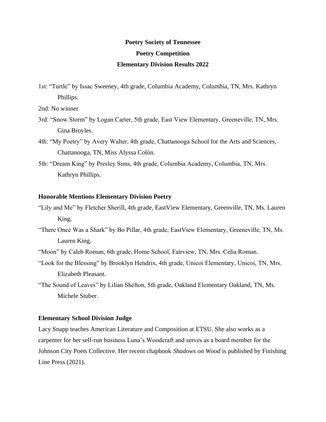# **Poetry Society of Tennessee Poetry Competition Elementary Division Results 2022**

- 1st: "Turtle" by Issac Sweeney, 4th grade, Columbia Academy, Columbia, TN, Mrs. Kathryn Phillips.
- 2nd: No winner
- 3rd: "Snow Storm" by Logan Carter, 5th grade, East View Elementary, Greeneville, TN, Mrs. Gina Broyles.
- 4th: "My Poetry" by Avery Walter, 4th grade, Chattanooga School for the Arts and Sciences, Chattanooga, TN, Miss Alyssa Colón.
- 5th: "Dream King" by Presley Sims, 4th grade, Columbia Academy, Columbia, TN, Mrs. Kathryn Phillips.

### **Honorable Mentions Elementary Division Poetry**

- "Lily and Me" by Fletcher Sherill, 4th grade, EastView Elementary, Greenville, TN, Ms. Lauren King.
- "There Once Was a Shark" by Bo Pillar, 4th grade, EastView Elementary, Greeneville, TN, Ms. Lauren King.
- "Moon" by Caleb Roman, 6th grade, Home School, Fairview, TN, Mrs. Celia Roman.
- "Look for the Blessing" by Brooklyn Hendrix, 4th grade, Unicoi Elementary, Unicoi, TN, Mrs. Elizabeth Pleasant.
- "The Sound of Leaves" by Lilian Shelton, 5th grade, Oakland Elementary Oakland, TN, Ms. Michele Stuber.

#### **Elementary School Division Judge**

Lacy Snapp teaches American Literature and Composition at ETSU. She also works as a carpenter for her self-run business Luna's Woodcraft and serves as a board member for the Johnson City Poets Collective. Her recent chapbook *Shadows on Wood* is published by Finishing Line Press (2021).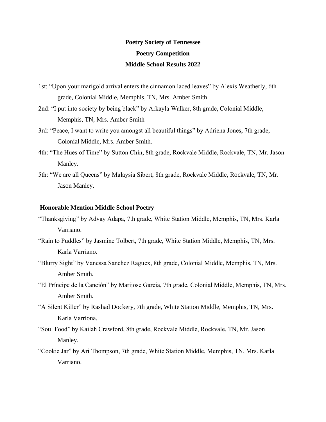# **Poetry Society of Tennessee Poetry Competition Middle School Results 2022**

- 1st: "Upon your marigold arrival enters the cinnamon laced leaves" by Alexis Weatherly, 6th grade, Colonial Middle, Memphis, TN, Mrs. Amber Smith
- 2nd: "I put into society by being black" by Arkayla Walker, 8th grade, Colonial Middle, Memphis, TN, Mrs. Amber Smith
- 3rd: "Peace, I want to write you amongst all beautiful things" by Adriena Jones, 7th grade, Colonial Middle, Mrs. Amber Smith.
- 4th: "The Hues of Time" by Sutton Chin, 8th grade, Rockvale Middle, Rockvale, TN, Mr. Jason Manley.
- 5th: "We are all Queens" by Malaysia Sibert, 8th grade, Rockvale Middle, Rockvale, TN, Mr. Jason Manley.

### **Honorable Mention Middle School Poetry**

- "Thanksgiving" by Advay Adapa, 7th grade, White Station Middle, Memphis, TN, Mrs. Karla Varriano.
- "Rain to Puddles" by Jasmine Tolbert, 7th grade, White Station Middle, Memphis, TN, Mrs. Karla Varriano.
- "Blurry Sight" by Vanessa Sanchez Raguex, 8th grade, Colonial Middle, Memphis, TN, Mrs. Amber Smith.
- "El Príncipe de la Canción" by Marijose Garcia, 7th grade, Colonial Middle, Memphis, TN, Mrs. Amber Smith.
- "A Silent Killer" by Rashad Dockery, 7th grade, White Station Middle, Memphis, TN, Mrs. Karla Varriona.
- "Soul Food" by Kailah Crawford, 8th grade, Rockvale Middle, Rockvale, TN, Mr. Jason Manley.
- "Cookie Jar" by Ari Thompson, 7th grade, White Station Middle, Memphis, TN, Mrs. Karla Varriano.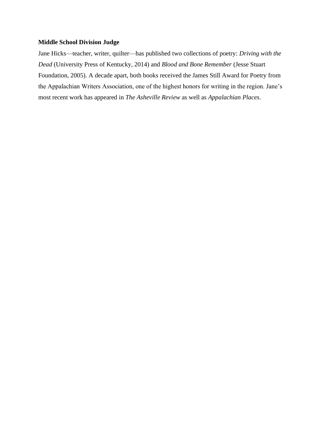### **Middle School Division Judge**

Jane Hicks—teacher, writer, quilter—has published two collections of poetry: *Driving with the Dead* (University Press of Kentucky, 2014) and *Blood and Bone Remember* (Jesse Stuart Foundation, 2005). A decade apart, both books received the James Still Award for Poetry from the Appalachian Writers Association, one of the highest honors for writing in the region. Jane's most recent work has appeared in *The Asheville Review* as well as *Appalachian Places*.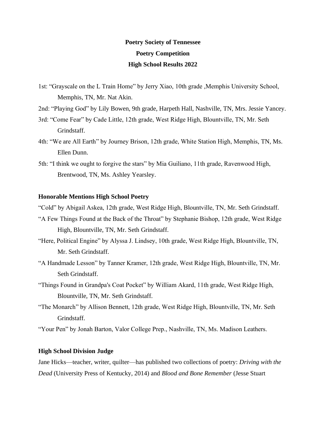# **Poetry Society of Tennessee Poetry Competition High School Results 2022**

- 1st: "Grayscale on the L Train Home" by Jerry Xiao, 10th grade ,Memphis University School, Memphis, TN, Mr. Nat Akin.
- 2nd: "Playing God" by Lily Bowen, 9th grade, Harpeth Hall, Nashville, TN, Mrs. Jessie Yancey.
- 3rd: "Come Fear" by Cade Little, 12th grade, West Ridge High, Blountville, TN, Mr. Seth Grindstaff.
- 4th: "We are All Earth" by Journey Brison, 12th grade, White Station High, Memphis, TN, Ms. Ellen Dunn.
- 5th: "I think we ought to forgive the stars" by Mia Guiliano, 11th grade, Ravenwood High, Brentwood, TN, Ms. Ashley Yearsley.

### **Honorable Mentions High School Poetry**

"Cold" by Abigail Askea, 12th grade, West Ridge High, Blountville, TN, Mr. Seth Grindstaff.

- "A Few Things Found at the Back of the Throat" by Stephanie Bishop, 12th grade, West Ridge High, Blountville, TN, Mr. Seth Grindstaff.
- "Here, Political Engine" by Alyssa J. Lindsey, 10th grade, West Ridge High, Blountville, TN, Mr. Seth Grindstaff.
- "A Handmade Lesson" by Tanner Kramer, 12th grade, West Ridge High, Blountville, TN, Mr. Seth Grindstaff.
- "Things Found in Grandpa's Coat Pocket" by William Akard, 11th grade, West Ridge High, Blountville, TN, Mr. Seth Grindstaff.
- "The Monarch" by Allison Bennett, 12th grade, West Ridge High, Blountville, TN, Mr. Seth Grindstaff.

"Your Pen" by Jonah Barton, Valor College Prep., Nashville, TN, Ms. Madison Leathers.

### **High School Division Judge**

Jane Hicks—teacher, writer, quilter—has published two collections of poetry: *Driving with the Dead* (University Press of Kentucky, 2014) and *Blood and Bone Remember* (Jesse Stuart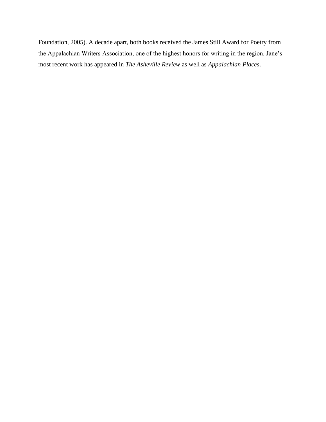Foundation, 2005). A decade apart, both books received the James Still Award for Poetry from the Appalachian Writers Association, one of the highest honors for writing in the region. Jane's most recent work has appeared in *The Asheville Review* as well as *Appalachian Places*.